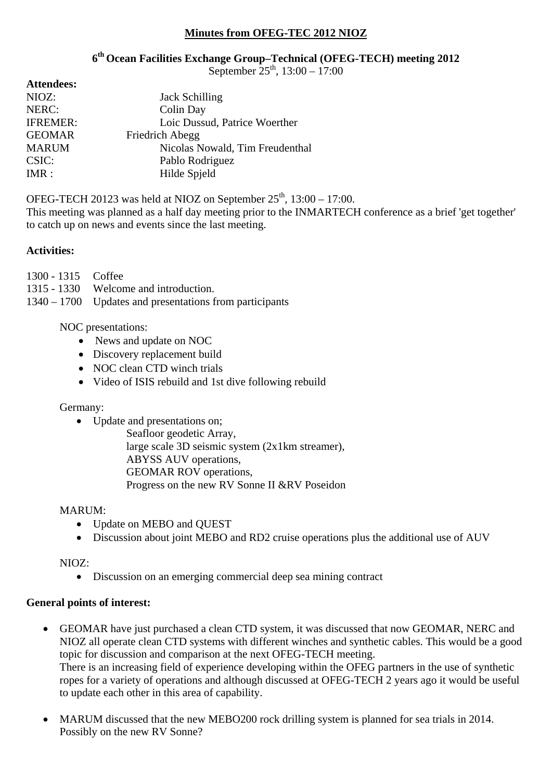### **Minutes from OFEG-TEC 2012 NIOZ**

## **6th Ocean Facilities Exchange Group–Technical (OFEG-TECH) meeting 2012**

September  $25^{th}$ , 13:00 – 17:00

| <b>Attendees:</b> |                                 |
|-------------------|---------------------------------|
| NIOZ:             | <b>Jack Schilling</b>           |
| NERC:             | Colin Day                       |
| <b>IFREMER:</b>   | Loic Dussud, Patrice Woerther   |
| <b>GEOMAR</b>     | Friedrich Abegg                 |
| <b>MARUM</b>      | Nicolas Nowald, Tim Freudenthal |
| CSIC:             | Pablo Rodriguez                 |
| IMR:              | Hilde Spield                    |

OFEG-TECH 20123 was held at NIOZ on September  $25<sup>th</sup>$ , 13:00 – 17:00.

This meeting was planned as a half day meeting prior to the INMARTECH conference as a brief 'get together' to catch up on news and events since the last meeting.

### **Activities:**

- 1300 1315 Coffee
- 1315 1330 Welcome and introduction.
- 1340 1700 Updates and presentations from participants

### NOC presentations:

- News and update on NOC
- Discovery replacement build
- NOC clean CTD winch trials
- Video of ISIS rebuild and 1st dive following rebuild

### Germany:

• Update and presentations on;

 Seafloor geodetic Array, large scale 3D seismic system (2x1km streamer), ABYSS AUV operations, GEOMAR ROV operations, Progress on the new RV Sonne II &RV Poseidon

### MARUM:

- Update on MEBO and OUEST
- Discussion about joint MEBO and RD2 cruise operations plus the additional use of AUV

### NIOZ:

Discussion on an emerging commercial deep sea mining contract

# **General points of interest:**

- GEOMAR have just purchased a clean CTD system, it was discussed that now GEOMAR, NERC and NIOZ all operate clean CTD systems with different winches and synthetic cables. This would be a good topic for discussion and comparison at the next OFEG-TECH meeting. There is an increasing field of experience developing within the OFEG partners in the use of synthetic ropes for a variety of operations and although discussed at OFEG-TECH 2 years ago it would be useful to update each other in this area of capability.
- MARUM discussed that the new MEBO200 rock drilling system is planned for sea trials in 2014. Possibly on the new RV Sonne?